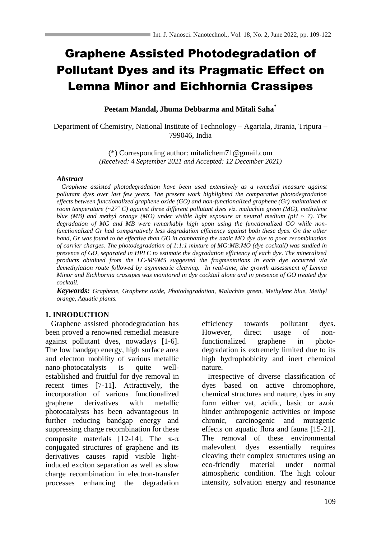# Graphene Assisted Photodegradation of Pollutant Dyes and its Pragmatic Effect on Lemna Minor and Eichhornia Crassipes

**Peetam Mandal, Jhuma Debbarma and Mitali Saha\***

Department of Chemistry, National Institute of Technology – Agartala, Jirania, Tripura – 799046, India

> (\*) Corresponding author: mitalichem71@gmail.com *(Received: 4 September 2021 and Accepted: 12 December 2021)*

## *Abstract*

 *Graphene assisted photodegradation have been used extensively as a remedial measure against pollutant dyes over last few years. The present work highlighted the comparative photodegradation effects between functionalized graphene oxide (GO) and non-functionalized graphene (Gr) maintained at room temperature (~27<sup>o</sup> C) against three different pollutant dyes viz. malachite green (MG), methylene blue (MB) and methyl orange (MO) under visible light exposure at neutral medium (pH ~ 7). The degradation of MG and MB were remarkably high upon using the functionalized GO while nonfunctionalized Gr had comparatively less degradation efficiency against both these dyes. On the other hand, Gr was found to be effective than GO in combatting the azoic MO dye due to poor recombination of carrier charges. The photodegradation of 1:1:1 mixture of MG:MB:MO (dye cocktail) was studied in presence of GO, separated in HPLC to estimate the degradation efficiency of each dye. The mineralized products obtained from the LC-MS/MS suggested the fragmentations in each dye occurred via demethylation route followed by asymmetric cleaving. In real-time, the growth assessment of Lemna Minor and Eichhornia crassipes was monitored in dye cocktail alone and in presence of GO treated dye cocktail.*

*Keywords: Graphene, Graphene oxide, Photodegradation, Malachite green, Methylene blue, Methyl orange, Aquatic plants.*

# **1. INRODUCTION**

 Graphene assisted photodegradation has been proved a renowned remedial measure against pollutant dyes, nowadays [1-6]. The low bandgap energy, high surface area and electron mobility of various metallic nano-photocatalysts is quite wellestablished and fruitful for dye removal in recent times [7-11]. Attractively, the incorporation of various functionalized graphene derivatives with metallic photocatalysts has been advantageous in further reducing bandgap energy and suppressing charge recombination for these composite materials [12-14]. The  $\pi$ - $\pi$ conjugated structures of graphene and its derivatives causes rapid visible lightinduced exciton separation as well as slow charge recombination in electron-transfer processes enhancing the degradation

efficiency towards pollutant dyes. However, direct usage of nonfunctionalized graphene in photodegradation is extremely limited due to its high hydrophobicity and inert chemical nature.

 Irrespective of diverse classification of dyes based on active chromophore, chemical structures and nature, dyes in any form either vat, acidic, basic or azoic hinder anthropogenic activities or impose chronic, carcinogenic and mutagenic effects on aquatic flora and fauna [15-21]. The removal of these environmental malevolent dyes essentially requires cleaving their complex structures using an eco-friendly material under normal atmospheric condition. The high colour intensity, solvation energy and resonance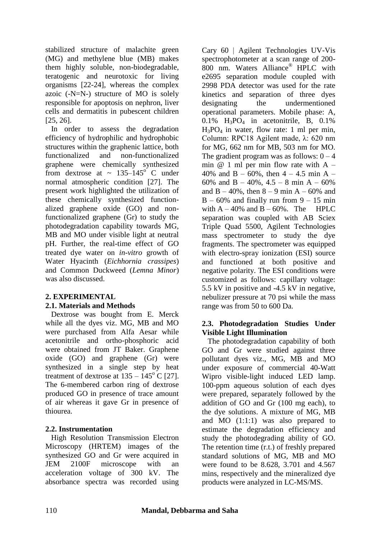stabilized structure of malachite green (MG) and methylene blue (MB) makes them highly soluble, non-biodegradable, teratogenic and neurotoxic for living organisms [22-24], whereas the complex azoic (-N=N-) structure of MO is solely responsible for apoptosis on nephron, liver cells and dermatitis in pubescent children [25, 26].

 In order to assess the degradation efficiency of hydrophilic and hydrophobic structures within the graphenic lattice, both functionalized and non-functionalized graphene were chemically synthesized from dextrose at  $\sim 135-145^{\circ}$  C under normal atmospheric condition [27]. The present work highlighted the utilization of these chemically synthesized functionalized graphene oxide (GO) and nonfunctionalized graphene (Gr) to study the photodegradation capability towards MG, MB and MO under visible light at neutral pH. Further, the real-time effect of GO treated dye water on *in-vitro* growth of Water Hyacinth (*Eichhornia crassipes*) and Common Duckweed (*Lemna Minor*) was also discussed.

## **2. EXPERIMENTAL 2.1. Materials and Methods**

 Dextrose was bought from E. Merck while all the dyes viz. MG, MB and MO were purchased from Alfa Aesar while acetonitrile and ortho-phosphoric acid were obtained from JT Baker. Graphene oxide (GO) and graphene (Gr) were synthesized in a single step by heat treatment of dextrose at  $135 - 145^{\circ}$  C [27]. The 6-membered carbon ring of dextrose produced GO in presence of trace amount of air whereas it gave Gr in presence of thiourea.

# **2.2. Instrumentation**

 High Resolution Transmission Electron Microscopy (HRTEM) images of the synthesized GO and Gr were acquired in JEM 2100F microscope with an acceleration voltage of 300 kV. The absorbance spectra was recorded using

Cary 60 | Agilent Technologies UV-Vis spectrophotometer at a scan range of 200- 800 nm. Waters Alliance® HPLC with e2695 separation module coupled with 2998 PDA detector was used for the rate kinetics and separation of three dyes designating the undermentioned operational parameters. Mobile phase: A,  $0.1\%$  H<sub>3</sub>PO<sub>4</sub> in acetonitrile, B,  $0.1\%$  $H_3PO_4$  in water, flow rate: 1 ml per min, Column: RPC18 Agilent made, λ: 620 nm for MG, 662 nm for MB, 503 nm for MO. The gradient program was as follows:  $0 - 4$ min  $@ 1$  ml per min flow rate with A – 40% and B – 60%, then  $4 - 4.5$  min A – 60% and B – 40%, 4.5 – 8 min A – 60% and  $B - 40\%$ , then  $8 - 9$  min  $A - 60\%$  and  $B - 60\%$  and finally run from 9 – 15 min with  $A - 40\%$  and  $B - 60\%$ . The HPLC separation was coupled with AB Sciex Triple Quad 5500, Agilent Technologies mass spectrometer to study the dye fragments. The spectrometer was equipped with electro-spray ionization (ESI) source and functioned at both positive and negative polarity. The ESI conditions were customized as follows: capillary voltage: 5.5 kV in positive and -4.5 kV in negative, nebulizer pressure at 70 psi while the mass range was from 50 to 600 Da.

# **2.3. Photodegradation Studies Under Visible Light Illumination**

 The photodegradation capability of both GO and Gr were studied against three pollutant dyes viz., MG, MB and MO under exposure of commercial 40-Watt Wipro visible-light induced LED lamp. 100-ppm aqueous solution of each dyes were prepared, separately followed by the addition of GO and Gr (100 mg each), to the dye solutions. A mixture of MG, MB and MO (1:1:1) was also prepared to estimate the degradation efficiency and study the photodegrading ability of GO. The retention time (r.t.) of freshly prepared standard solutions of MG, MB and MO were found to be 8.628, 3.701 and 4.567 mins, respectively and the mineralized dye products were analyzed in LC-MS/MS.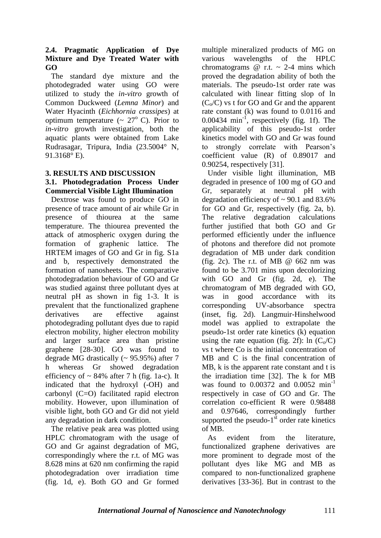# **2.4. Pragmatic Application of Dye Mixture and Dye Treated Water with GO**

 The standard dye mixture and the photodegraded water using GO were utilized to study the *in-vitro* growth of Common Duckweed (*Lemna Minor*) and Water Hyacinth (*Eichhornia crassipes*) at optimum temperature  $({\sim 27^{\circ} C})$ . Prior to *in-vitro* growth investigation, both the aquatic plants were obtained from Lake Rudrasagar, Tripura, India (23.5004° N, 91.3168° E).

# **3. RESULTS AND DISCUSSION**

## **3.1. Photodegradation Process Under Commercial Visible Light Illumination**

 Dextrose was found to produce GO in presence of trace amount of air while Gr in presence of thiourea at the same temperature. The thiourea prevented the attack of atmospheric oxygen during the formation of graphenic lattice. The HRTEM images of GO and Gr in fig. S1a and b, respectively demonstrated the formation of nanosheets. The comparative photodegradation behaviour of GO and Gr was studied against three pollutant dyes at neutral pH as shown in fig 1-3. It is prevalent that the functionalized graphene derivatives are effective against photodegrading pollutant dyes due to rapid electron mobility, higher electron mobility and larger surface area than pristine graphene [28-30]. GO was found to degrade MG drastically (~ 95.95%) after 7 h whereas Gr showed degradation efficiency of  $\sim$  84% after 7 h (fig. 1a-c). It indicated that the hydroxyl (-OH) and carbonyl (C=O) facilitated rapid electron mobility. However, upon illumination of visible light, both GO and Gr did not yield any degradation in dark condition.

 The relative peak area was plotted using HPLC chromatogram with the usage of GO and Gr against degradation of MG, correspondingly where the r.t. of MG was 8.628 mins at 620 nm confirming the rapid photodegradation over irradiation time (fig. 1d, e). Both GO and Gr formed multiple mineralized products of MG on various wavelengths of the HPLC chromatograms  $\omega$  r.t.  $\sim$  2-4 mins which proved the degradation ability of both the materials. The pseudo-1st order rate was calculated with linear fitting slop of ln  $(C_0/C)$  vs t for GO and Gr and the apparent rate constant (k) was found to 0.0116 and  $0.00434$  min<sup>-1</sup>, respectively (fig. 1f). The applicability of this pseudo-1st order kinetics model with GO and Gr was found to strongly correlate with Pearson's coefficient value (R) of 0.89017 and 0.90254, respectively [31].

 Under visible light illumination, MB degraded in presence of 100 mg of GO and Gr, separately at neutral pH with degradation efficiency of  $\sim$  90.1 and 83.6% for GO and Gr, respectively (fig. 2a, b). The relative degradation calculations further justified that both GO and Gr performed efficiently under the influence of photons and therefore did not promote degradation of MB under dark condition (fig. 2c). The r.t. of MB  $\omega$  662 nm was found to be 3.701 mins upon decolorizing with GO and Gr (fig. 2d, e). The chromatogram of MB degraded with GO, was in good accordance with its corresponding UV-absorbance spectra (inset, fig. 2d). Langmuir-Hinshelwood model was applied to extrapolate the pseudo-1st order rate kinetics (k) equation using the rate equation (fig. 2f):  $\ln (C_0/C)$ vs t where Co is the initial concentration of MB and C is the final concentration of MB, k is the apparent rate constant and t is the irradiation time [32]. The k for MB was found to  $0.00372$  and  $0.0052$  min<sup>-1</sup> respectively in case of GO and Gr. The correlation co-efficient R were 0.98488 and 0.97646, correspondingly further supported the pseudo- $1<sup>st</sup>$  order rate kinetics of MB.

 As evident from the literature, functionalized graphene derivatives are more prominent to degrade most of the pollutant dyes like MG and MB as compared to non-functionalized graphene derivatives [33-36]. But in contrast to the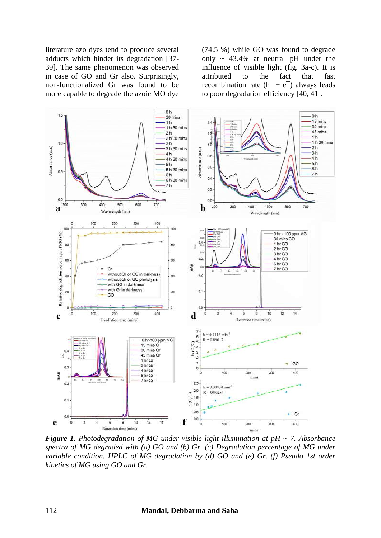literature azo dyes tend to produce several adducts which hinder its degradation [37- 39]. The same phenomenon was observed in case of GO and Gr also. Surprisingly, non-functionalized Gr was found to be more capable to degrade the azoic MO dye

(74.5 %) while GO was found to degrade only ~ 43.4% at neutral pH under the influence of visible light (fig. 3a-c). It is attributed to the fact that fast recombination rate  $(h^+ + e^-)$  always leads to poor degradation efficiency [40, 41].



*Figure 1. Photodegradation of MG under visible light illumination at pH ~ 7. Absorbance spectra of MG degraded with (a) GO and (b) Gr. (c) Degradation percentage of MG under variable condition. HPLC of MG degradation by (d) GO and (e) Gr. (f) Pseudo 1st order kinetics of MG using GO and Gr.*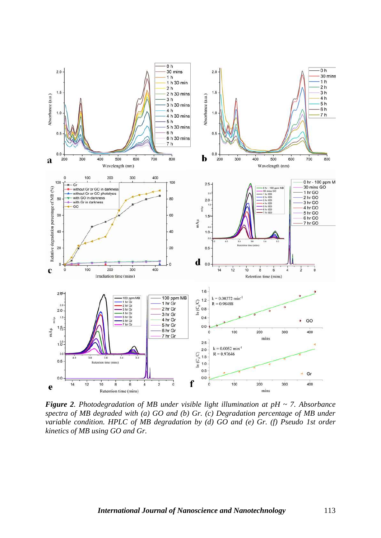

*Figure 2. Photodegradation of MB under visible light illumination at pH ~ 7. Absorbance spectra of MB degraded with (a) GO and (b) Gr. (c) Degradation percentage of MB under variable condition. HPLC of MB degradation by (d) GO and (e) Gr. (f) Pseudo 1st order kinetics of MB using GO and Gr.*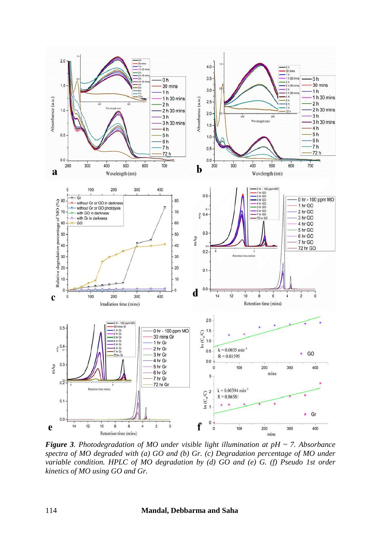

*Figure 3. Photodegradation of MO under visible light illumination at pH ~ 7. Absorbance spectra of MO degraded with (a) GO and (b) Gr. (c) Degradation percentage of MO under variable condition. HPLC of MO degradation by (d) GO and (e) G. (f) Pseudo 1st order kinetics of MO using GO and Gr.*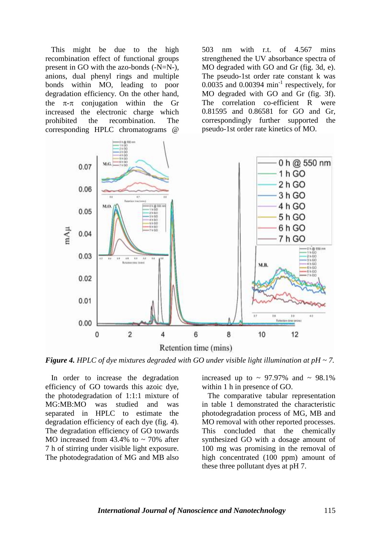This might be due to the high recombination effect of functional groups present in GO with the azo-bonds (-N=N-), anions, dual phenyl rings and multiple bonds within MO, leading to poor degradation efficiency. On the other hand, the  $\pi$ - $\pi$  conjugation within the Gr increased the electronic charge which<br>prohibited the recombination. The the recombination. The corresponding HPLC chromatograms @

503 nm with r.t. of 4.567 mins strengthened the UV absorbance spectra of MO degraded with GO and Gr (fig. 3d, e). The pseudo-1st order rate constant k was  $0.0035$  and  $0.00394$  min<sup>-1</sup> respectively, for MO degraded with GO and Gr (fig. 3f). The correlation co-efficient R were 0.81595 and 0.86581 for GO and Gr, correspondingly further supported the pseudo-1st order rate kinetics of MO.



*Figure 4. HPLC of dye mixtures degraded with GO under visible light illumination at pH ~ 7.*

 In order to increase the degradation efficiency of GO towards this azoic dye, the photodegradation of 1:1:1 mixture of MG:MB:MO was studied and was separated in HPLC to estimate the degradation efficiency of each dye (fig. 4). The degradation efficiency of GO towards MO increased from  $43.4\%$  to  $\sim$  70% after 7 h of stirring under visible light exposure. The photodegradation of MG and MB also

increased up to  $\sim$  97.97% and  $\sim$  98.1% within 1 h in presence of GO.

 The comparative tabular representation in table 1 demonstrated the characteristic photodegradation process of MG, MB and MO removal with other reported processes. This concluded that the chemically synthesized GO with a dosage amount of 100 mg was promising in the removal of high concentrated (100 ppm) amount of these three pollutant dyes at pH 7.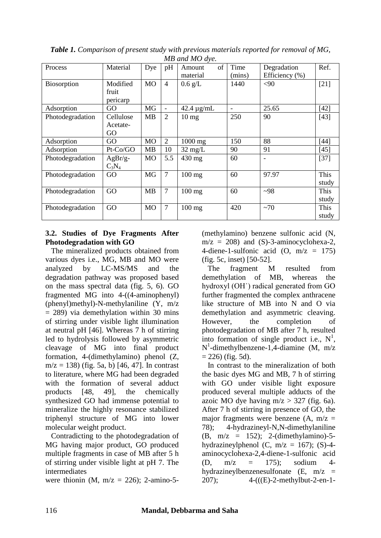| $M$ $D$ and $M$ $D$ are. |                               |                |                |                          |                |                               |               |
|--------------------------|-------------------------------|----------------|----------------|--------------------------|----------------|-------------------------------|---------------|
| Process                  | Material                      | Dye            | pH             | of<br>Amount<br>material | Time<br>(mins) | Degradation<br>Efficiency (%) | Ref.          |
| Biosorption              | Modified<br>fruit<br>pericarp | <b>MO</b>      | $\overline{4}$ | $0.6 \text{ g/L}$        | 1440           | $<$ 90                        | $[21]$        |
| Adsorption               | GO                            | MG             | -              | $42.4 \mu g/mL$          |                | 25.65                         | $[42]$        |
| Photodegradation         | Cellulose<br>Acetate-<br>GO   | MB             | $\overline{2}$ | $10 \text{ mg}$          | 250            | 90                            | $[43]$        |
| Adsorption               | GO                            | M <sub>O</sub> | $\overline{2}$ | $1000$ mg                | 150            | 88                            | $[44]$        |
| Adsorption               | Pt-Co/GO                      | <b>MB</b>      | 10             | $32 \text{ mg/L}$        | 90             | 91                            | $[45]$        |
| Photodegradation         | $AgBr/g-$<br>$C_3N_4$         | <b>MO</b>      | 5.5            | 430 mg                   | 60             |                               | $[37]$        |
| Photodegradation         | GO                            | <b>MG</b>      | $\overline{7}$ | $100$ mg                 | 60             | 97.97                         | This<br>study |
| Photodegradation         | GO                            | <b>MB</b>      | $\overline{7}$ | 100 mg                   | 60             | $-98$                         | This<br>study |
| Photodegradation         | GO                            | <b>MO</b>      | $\overline{7}$ | 100 mg                   | 420            | ~1                            | This<br>study |

*Table 1. Comparison of present study with previous materials reported for removal of MG, MB and MO dye.*

# **3.2. Studies of Dye Fragments After Photodegradation with GO**

 The mineralized products obtained from various dyes i.e., MG, MB and MO were analyzed by LC-MS/MS and the degradation pathway was proposed based on the mass spectral data (fig. 5, 6). GO fragmented MG into 4-((4-aminophenyl) (phenyl)methyl)-N-methylaniline (Y, m/z  $= 289$ ) via demethylation within 30 mins of stirring under visible light illumination at neutral pH [46]. Whereas 7 h of stirring led to hydrolysis followed by asymmetric cleavage of MG into final product formation, 4-(dimethylamino) phenol (Z,  $m/z = 138$ ) (fig. 5a, b) [46, 47]. In contrast to literature, where MG had been degraded with the formation of several adduct products [48, 49], the chemically synthesized GO had immense potential to mineralize the highly resonance stabilized triphenyl structure of MG into lower molecular weight product.

 Contradicting to the photodegradation of MG having major product, GO produced multiple fragments in case of MB after 5 h of stirring under visible light at pH 7. The intermediates

were thionin (M,  $m/z = 226$ ); 2-amino-5-

(methylamino) benzene sulfonic acid (N,  $m/z = 208$ ) and (S)-3-aminocyclohexa-2, 4-diene-1-sulfonic acid  $(O, m/z = 175)$ (fig. 5c, inset) [50-52].

 The fragment M resulted from demethylation of MB, whereas the hydroxyl (OH˙) radical generated from GO further fragmented the complex anthracene like structure of MB into N and O via demethylation and asymmetric cleaving. However, the completion of photodegradation of MB after 7 h, resulted into formation of single product i.e.,  $N<sup>1</sup>$ , N 1 -dimethylbenzene-1,4-diamine (M, m/z  $= 226$ ) (fig. 5d).

 In contrast to the mineralization of both the basic dyes MG and MB, 7 h of stirring with GO under visible light exposure produced several multiple adducts of the azoic MO dye having  $m/z > 327$  (fig. 6a). After 7 h of stirring in presence of GO, the major fragments were benzene  $(A, m/z =$ 78); 4-hydrazineyl-N,N-dimethylaniline (B,  $m/z = 152$ ); 2-(dimethylamino)-5hydrazineylphenol (C,  $m/z = 167$ ); (S)-4aminocyclohexa-2,4-diene-1-sulfonic acid (D,  $m/z = 175$ ); sodium 4hydrazineylbenzenesulfonate  $(E, m/z)$ 207); 4-(((E)-2-methylbut-2-en-1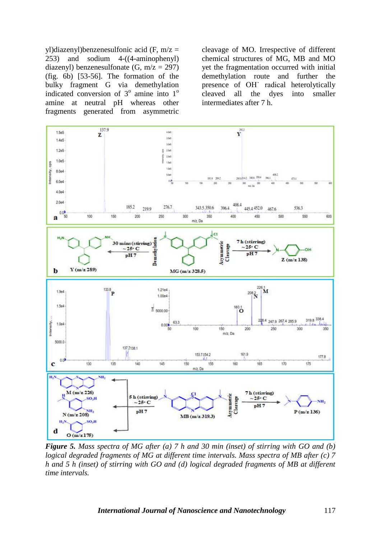yl)diazenyl)benzenesulfonic acid (F,  $m/z =$ 253) and sodium 4-((4-aminophenyl) diazenyl) benzenesulfonate  $(G, m/z = 297)$ (fig. 6b) [53-56]. The formation of the bulky fragment G via demethylation indicated conversion of  $3^\circ$  amine into  $1^\circ$ amine at neutral pH whereas other fragments generated from asymmetric

cleavage of MO. Irrespective of different chemical structures of MG, MB and MO yet the fragmentation occurred with initial demethylation route and further the presence of OH˙ radical heterolytically cleaved all the dyes into smaller intermediates after 7 h.



*Figure 5. Mass spectra of MG after (a) 7 h and 30 min (inset) of stirring with GO and (b) logical degraded fragments of MG at different time intervals. Mass spectra of MB after (c) 7 h and 5 h (inset) of stirring with GO and (d) logical degraded fragments of MB at different time intervals.*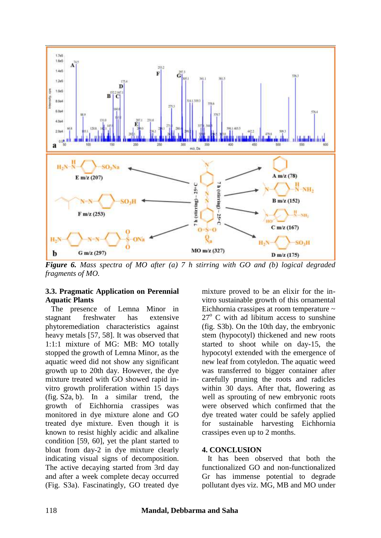

*Figure 6. Mass spectra of MO after (a) 7 h stirring with GO and (b) logical degraded fragments of MO.*

## **3.3. Pragmatic Application on Perennial Aquatic Plants**

 The presence of Lemna Minor in stagnant freshwater has extensive phytoremediation characteristics against heavy metals [57, 58]. It was observed that 1:1:1 mixture of MG: MB: MO totally stopped the growth of Lemna Minor, as the aquatic weed did not show any significant growth up to 20th day. However, the dye mixture treated with GO showed rapid invitro growth proliferation within 15 days (fig. S2a, b). In a similar trend, the growth of Eichhornia crassipes was monitored in dye mixture alone and GO treated dye mixture. Even though it is known to resist highly acidic and alkaline condition [59, 60], yet the plant started to bloat from day-2 in dye mixture clearly indicating visual signs of decomposition. The active decaying started from 3rd day and after a week complete decay occurred (Fig. S3a). Fascinatingly, GO treated dye

mixture proved to be an elixir for the invitro sustainable growth of this ornamental Eichhornia crassipes at room temperature ~  $27^{\circ}$  C with ad libitum access to sunshine (fig. S3b). On the 10th day, the embryonic stem (hypocotyl) thickened and new roots started to shoot while on day-15, the hypocotyl extended with the emergence of new leaf from cotyledon. The aquatic weed was transferred to bigger container after carefully pruning the roots and radicles within 30 days. After that, flowering as well as sprouting of new embryonic roots were observed which confirmed that the dye treated water could be safely applied for sustainable harvesting Eichhornia crassipes even up to 2 months.

## **4. CONCLUSION**

 It has been observed that both the functionalized GO and non-functionalized Gr has immense potential to degrade pollutant dyes viz. MG, MB and MO under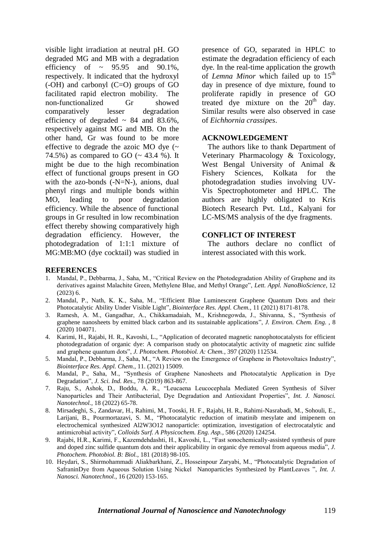visible light irradiation at neutral pH. GO degraded MG and MB with a degradation efficiency of  $\sim$  95.95 and 90.1%, respectively. It indicated that the hydroxyl (-OH) and carbonyl (C=O) groups of GO facilitated rapid electron mobility. The non-functionalized Gr showed comparatively lesser degradation efficiency of degraded  $\sim 84$  and 83.6%, respectively against MG and MB. On the other hand, Gr was found to be more effective to degrade the azoic MO dye  $($ 74.5%) as compared to GO  $(-43.4\%)$ . It might be due to the high recombination effect of functional groups present in GO with the azo-bonds (-N=N-), anions, dual phenyl rings and multiple bonds within MO, leading to poor degradation efficiency. While the absence of functional groups in Gr resulted in low recombination effect thereby showing comparatively high degradation efficiency. However, the photodegradation of 1:1:1 mixture of MG:MB:MO (dye cocktail) was studied in

presence of GO, separated in HPLC to estimate the degradation efficiency of each dye. In the real-time application the growth of *Lemna Minor* which failed up to 15<sup>th</sup> day in presence of dye mixture, found to proliferate rapidly in presence of GO treated dye mixture on the  $20<sup>th</sup>$  day. Similar results were also observed in case of *Eichhornia crassipes*.

#### **ACKNOWLEDGEMENT**

 The authors like to thank Department of Veterinary Pharmacology & Toxicology, West Bengal University of Animal & Fishery Sciences, Kolkata for the photodegradation studies involving UV-Vis Spectrophotometer and HPLC. The authors are highly obligated to Kris Biotech Research Pvt. Ltd., Kalyani for LC-MS/MS analysis of the dye fragments.

## **CONFLICT OF INTEREST**

 The authors declare no conflict of interest associated with this work.

#### **REFERENCES**

- 1. Mandal, P., Debbarma, J., Saha, M., "Critical Review on the Photodegradation Ability of Graphene and its derivatives against Malachite Green, Methylene Blue, and Methyl Orange", *Lett. Appl. NanoBioScience*, 12 (2023) 6.
- 2. Mandal, P., Nath, K. K., Saha, M., "Efficient Blue Luminescent Graphene Quantum Dots and their Photocatalytic Ability Under Visible Light", *Biointerface Res. Appl. Chem.,* 11 (2021) 8171-8178.
- 3. Ramesh, A. M., Gangadhar, A., Chikkamadaiah, M., Krishnegowda, J., Shivanna, S., "Synthesis of graphene nanosheets by emitted black carbon and its sustainable applications", *J. Environ. Chem. Eng. ,* 8 (2020) 104071.
- 4. Karimi, H., Rajabi, H. R., Kavoshi, L., "Application of decorated magnetic nanophotocatalysts for efficient photodegradation of organic dye: A comparison study on photocatalytic activity of magnetic zinc sulfide and graphene quantum dots", *J. Photochem. Photobiol. A: Chem.*, 397 (2020) 112534.
- 5. Mandal, P., Debbarma, J., Saha, M., "A Review on the Emergence of Graphene in Photovoltaics Industry", *Biointerface Res. Appl. Chem.,* 11. (2021) 15009.
- 6. Mandal, P., Saha, M., "Synthesis of Graphene Nanosheets and Photocatalytic Application in Dye Degradation", *J. Sci. Ind. Res.,* 78 (2019) 863-867.
- 7. Raju, S., Ashok, D., Boddu, A. R., "Leucaena Leucocephala Mediated Green Synthesis of Silver Nanoparticles and Their Antibacterial, Dye Degradation and Antioxidant Properties", *Int. J. Nanosci. Nanotechnol.,* 18 (2022) 65-78.
- 8. Mirsadeghi, S., Zandavar, H., Rahimi, M., Tooski, H. F., Rajabi, H. R., Rahimi-Nasrabadi, M., Sohouli, E., Larijani, B., Pourmortazavi, S. M., "Photocatalytic reduction of imatinib mesylate and imipenem on electrochemical synthesized Al2W3O12 nanoparticle: optimization, investigation of electrocatalytic and antimicrobial activity", *Colloids Surf. A Physicochem. Eng. Asp.*, 586 (2020) 124254.
- 9. Rajabi, H.R., Karimi, F., Kazemdehdashti, H., Kavoshi, L., "Fast sonochemically-assisted synthesis of pure and doped zinc sulfide quantum dots and their applicability in organic dye removal from aqueous media", *J. Photochem. Photobiol. B: Biol.*, 181 (2018) 98-105.
- 10. Heydari, S., Shirmohammadi Aliakbarkhani, Z., Hosseinpour Zaryabi, M., "Photocatalytic Degradation of SafraninDye from Aqueous Solution Using Nickel Nanoparticles Synthesized by PlantLeaves ", *Int. J. Nanosci. Nanotechnol.*, 16 (2020) 153-165.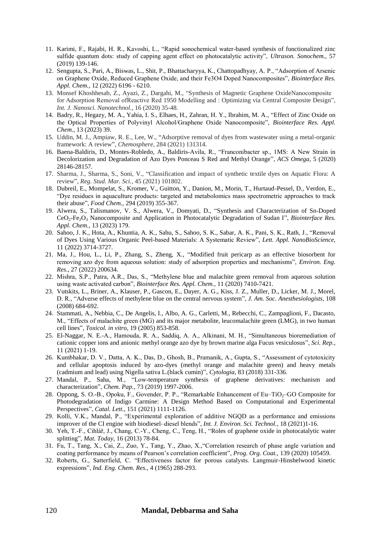- 11. Karimi, F., Rajabi, H. R., Kavoshi, L., "Rapid sonochemical water-based synthesis of functionalized zinc sulfide quantum dots: study of capping agent effect on photocatalytic activity", *Ultrason. Sonochem.,* 57 (2019) 139-146.
- 12. Sengupta, S., Pari, A., Biswas, L., Shit, P., Bhattacharyya, K., Chattopadhyay, A. P., "Adsorption of Arsenic on Graphene Oxide, Reduced Graphene Oxide, and their Fe3O4 Doped Nanocomposites", *Biointerface Res. Appl. Chem.*, 12 (2022) 6196 - 6210.
- 13. Monsef Khoshhesab, Z., Ayazi, Z., Dargahi, M., "Synthesis of Magnetic Graphene OxideNanocomposite for Adsorption Removal ofReactive Red 1950 Modelling and : Optimizing via Central Composite Design", *Int. J. Nanosci. Nanotechnol.*, 16 (2020) 35-48.
- 14. Badry, R., Hegazy, M. A., Yahia, I. S., Elhaes, H., Zahran, H. Y., Ibrahim, M. A., "Effect of Zinc Oxide on the Optical Properties of Polyvinyl Alcohol/Graphene Oxide Nanocomposite", *Biointerface Res. Appl. Chem.*, 13 (2023) 39.
- 15. Uddin, M. J., Ampiaw, R. E., Lee, W., "Adsorptive removal of dyes from wastewater using a metal-organic framework: A review", *Chemosphere*, 284 (2021) 131314.
- 16. Baena-Baldiris, D., Montes-Robledo, A., Baldiris-Avila, R., "Franconibacter sp., 1MS: A New Strain in Decolorization and Degradation of Azo Dyes Ponceau S Red and Methyl Orange", *ACS Omega,* 5 (2020) 28146-28157.
- 17. Sharma, J., Sharma, S., Soni, V., "Classification and impact of synthetic textile dyes on Aquatic Flora: A review", *Reg. Stud. Mar. Sci.*, 45 (2021) 101802.
- 18. Dubreil, E., Mompelat, S., Kromer, V., Guitton, Y., Danion, M., Morin, T., Hurtaud-Pessel, D., Verdon, E., "Dye residues in aquaculture products: targeted and metabolomics mass spectrometric approaches to track their abuse", *Food Chem.,* 294 (2019) 355-367.
- 19. Alwera, S., Talismanov, V. S., Alwera, V., Domyati, D., "Synthesis and Characterization of Sn-Doped CeO2-Fe2O<sup>3</sup> Nanocomposite and Application in Photocatalytic Degradation of Sudan I", *Biointerface Res. Appl. Chem.*, 13 (2023) 179.
- 20. Sahoo, J. K., Hota, A., Khuntia, A. K., Sahu, S., Sahoo, S. K., Sabar, A. K., Pani, S. K., Rath, J., "Removal of Dyes Using Various Organic Peel-based Materials: A Systematic Review", *Lett. Appl. NanoBioScience,* 11 (2022) 3714-3727.
- 21. Ma, J., Hou, L., Li, P., Zhang, S., Zheng, X., "Modified fruit pericarp as an effective biosorbent for removing azo dye from aqueous solution: study of adsorption properties and mechanisms", *Environ. Eng. Res*., 27 (2022) 200634.
- 22. Mishra, S.P., Patra, A.R., Das, S., "Methylene blue and malachite green removal from aqueous solution using waste activated carbon", *Biointerface Res. Appl. Chem.*, 11 (2020) 7410-7421.
- 23. Vutskits, L., Briner, A., Klauser, P., Gascon, E., Dayer, A. G., Kiss, J. Z., Muller, D., Licker, M. J., Morel, D. R., "Adverse effects of methylene blue on the central nervous system", *J. Am. Soc. Anesthesiologists,* 108 (2008) 684-692.
- 24. Stammati, A., Nebbia, C., De Angelis, I., Albo, A. G., Carletti, M., Rebecchi, C., Zampaglioni, F., Dacasto, M., "Effects of malachite green (MG) and its major metabolite, leucomalachite green (LMG), in two human cell lines", *Toxicol. in vitro,* 19 (2005) 853-858.
- 25. El-Naggar, N. E.-A., Hamouda, R. A., Saddiq, A. A., Alkinani, M. H., "Simultaneous bioremediation of cationic copper ions and anionic methyl orange azo dye by brown marine alga Fucus vesiculosus", *Sci. Rep.,* 11 (2021) 1-19.
- 26. Kumbhakar, D. V., Datta, A. K., Das, D., Ghosh, B., Pramanik, A., Gupta, S., "Assessment of cytotoxicity and cellular apoptosis induced by azo-dyes (methyl orange and malachite green) and heavy metals (cadmium and lead) using Nigella sativa L.(black cumin)", *Cytologia,* 83 (2018) 331-336.
- 27. Mandal, P., Saha, M., "Low-temperature synthesis of graphene derivatives: mechanism and characterization", *Chem. Pap.,* 73 (2019) 1997-2006.
- 28. Oppong, S. O.-B., Opoku, F., Govender, P. P., "Remarkable Enhancement of Eu–TiO<sub>2</sub>–GO Composite for Photodegradation of Indigo Carmine: A Design Method Based on Computational and Experimental Perspectives", *Catal. Lett.,* 151 (2021) 1111-1126.
- 29. Kolli, V.K., Mandal, P., "Experimental exploration of additive NGQD as a performance and emissions improver of the CI engine with biodiesel–diesel blends", *Int. J. Environ. Sci. Technol.*, 18 (2021)1-16.
- 30. Yeh, T.-F., Cihlář, J., Chang, C.-Y., Cheng, C., Teng, H., "Roles of graphene oxide in photocatalytic water splitting", *Mat. Today,* 16 (2013) 78-84.
- 31. Fu, T., Tang, X., Cai, Z., Zuo, Y., Tang, Y., Zhao, X.,"Correlation research of phase angle variation and coating performance by means of Pearson's correlation coefficient", *Prog. Org. Coat.,* 139 (2020) 105459.
- 32. Roberts, G., Satterfield, C. "Effectiveness factor for porous catalysts. Langmuir-Hinshelwood kinetic expressions", *Ind. Eng. Chem. Res.,* 4 (1965) 288-293.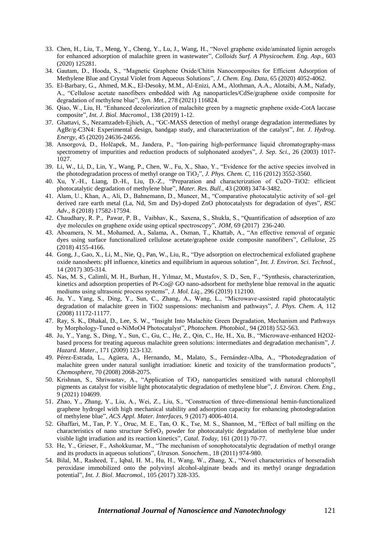- 33. Chen, H., Liu, T., Meng, Y., Cheng, Y., Lu, J., Wang, H., "Novel graphene oxide/aminated lignin aerogels for enhanced adsorption of malachite green in wastewater", *Colloids Surf. A Physicochem. Eng. Asp.,* 603 (2020) 125281.
- 34. Gautam, D., Hooda, S., "Magnetic Graphene Oxide/Chitin Nanocomposites for Efficient Adsorption of Methylene Blue and Crystal Violet from Aqueous Solutions", *J. Chem. Eng. Data,* 65 (2020) 4052-4062.
- 35. El-Barbary, G., Ahmed, M.K., El-Desoky, M.M., Al-Enizi, A.M., Alothman, A.A., Alotaibi, A.M., Nafady, A., "Cellulose acetate nanofibers embedded with Ag nanoparticles/CdSe/graphene oxide composite for degradation of methylene blue", *Syn. Met.*, 278 (2021) 116824.
- 36. Qiao, W., Liu, H. "Enhanced decolorization of malachite green by a magnetic graphene oxide-CotA laccase composite", *Int. J. Biol. Macromol.,* 138 (2019) 1-12.
- 37. Ghattavi, S., Nezamzadeh-Ejhieh, A., "GC-MASS detection of methyl orange degradation intermediates by AgBr/g-C3N4: Experimental design, bandgap study, and characterization of the catalyst", *Int. J. Hydrog. Energy,* 45 (2020) 24636-24656.
- 38. Ansorgová, D., Holčapek, M., Jandera, P., "Ion‐pairing high‐performance liquid chromatography‐mass spectrometry of impurities and reduction products of sulphonated azodyes", *J. Sep. Sci.,* 26 (2003) 1017- 1027.
- 39. Li, W., Li, D., Lin, Y., Wang, P., Chen, W., Fu, X., Shao, Y., "Evidence for the active species involved in the photodegradation process of methyl orange on TiO<sub>2</sub>", *J. Phys. Chem. C*, 116 (2012) 3552-3560.
- 40. Xu, Y.-H., Liang, D.-H., Liu, D.-Z., "Preparation and characterization of Cu2O–TiO2: efficient photocatalytic degradation of methylene blue", *Mater. Res. Bull.,* 43 (2008) 3474-3482.
- 41. Alam, U., Khan, A., Ali, D., Bahnemann, D., Muneer, M., "Comparative photocatalytic activity of sol–gel derived rare earth metal (La, Nd, Sm and Dy)-doped ZnO photocatalysts for degradation of dyes", *RSC Adv.,* 8 (2018) 17582-17594.
- 42. Chaudhary, R. P., Pawar, P. B., Vaibhav, K., Saxena, S., Shukla, S., "Quantification of adsorption of azo dye molecules on graphene oxide using optical spectroscopy", *JOM,* 69 (2017) 236-240.
- 43. Aboamera, N. M., Mohamed, A., Salama, A., Osman, T., Khattab, A., "An effective removal of organic dyes using surface functionalized cellulose acetate/graphene oxide composite nanofibers", *Cellulose,* 25 (2018) 4155-4166.
- 44. Gong, J., Gao, X., Li, M., Nie, Q., Pan, W., Liu, R., "Dye adsorption on electrochemical exfoliated graphene oxide nanosheets: pH influence, kinetics and equilibrium in aqueous solution", *Int. J. Environ. Sci. Technol.,*  14 (2017) 305-314.
- 45. Nas, M. S., Calimli, M. H., Burhan, H., Yılmaz, M., Mustafov, S. D., Sen, F., "Synthesis, characterization, kinetics and adsorption properties of Pt-Co@ GO nano-adsorbent for methylene blue removal in the aquatic mediums using ultrasonic process systems", *J. Mol. Liq.,* 296 (2019) 112100.
- 46. Ju, Y., Yang, S., Ding, Y., Sun, C., Zhang, A., Wang, L., "Microwave-assisted rapid photocatalytic degradation of malachite green in TiO2 suspensions: mechanism and pathways", *J. Phys. Chem. A,* 112 (2008) 11172-11177.
- 47. Ray, S. K., Dhakal, D., Lee, S. W., "Insight Into Malachite Green Degradation, Mechanism and Pathways by Morphology‐Tuned α‐NiMoO4 Photocatalyst", *Photochem. Photobiol.,* 94 (2018) 552-563.
- 48. Ju, Y., Yang, S., Ding, Y., Sun, C., Gu, C., He, Z., Qin, C., He, H., Xu, B., "Microwave-enhanced H2O2 based process for treating aqueous malachite green solutions: intermediates and degradation mechanism", *J. Hazard. Mater.,* 171 (2009) 123-132.
- 49. Pérez-Estrada, L., Agüera, A., Hernando, M., Malato, S., Fernández-Alba, A., "Photodegradation of malachite green under natural sunlight irradiation: kinetic and toxicity of the transformation products", *Chemosphere,* 70 (2008) 2068-2075.
- 50. Krishnan, S., Shriwastav, A., "Application of TiO<sub>2</sub> nanoparticles sensitized with natural chlorophyll pigments as catalyst for visible light photocatalytic degradation of methylene blue", *J. Environ. Chem. Eng.,* 9 (2021) 104699.
- 51. Zhao, Y., Zhang, Y., Liu, A., Wei, Z., Liu, S., "Construction of three-dimensional hemin-functionalized graphene hydrogel with high mechanical stability and adsorption capacity for enhancing photodegradation of methylene blue", *ACS Appl. Mater. Interfaces,* 9 (2017) 4006-4014.
- 52. Ghaffari, M., Tan, P. Y., Oruc, M. E., Tan, O. K., Tse, M. S., Shannon, M., "Effect of ball milling on the characteristics of nano structure  $SrFeO<sub>3</sub>$  powder for photocatalytic degradation of methylene blue under visible light irradiation and its reaction kinetics", *Catal. Today,* 161 (2011) 70-77.
- 53. He, Y., Grieser, F., Ashokkumar, M., "The mechanism of sonophotocatalytic degradation of methyl orange and its products in aqueous solutions", *Utrason. Sonochem.,* 18 (2011) 974-980.
- 54. Bilal, M., Rasheed, T., Iqbal, H. M., Hu, H., Wang, W., Zhang, X., "Novel characteristics of horseradish peroxidase immobilized onto the polyvinyl alcohol-alginate beads and its methyl orange degradation potential", *Int. J. Biol. Macromol.,* 105 (2017) 328-335.